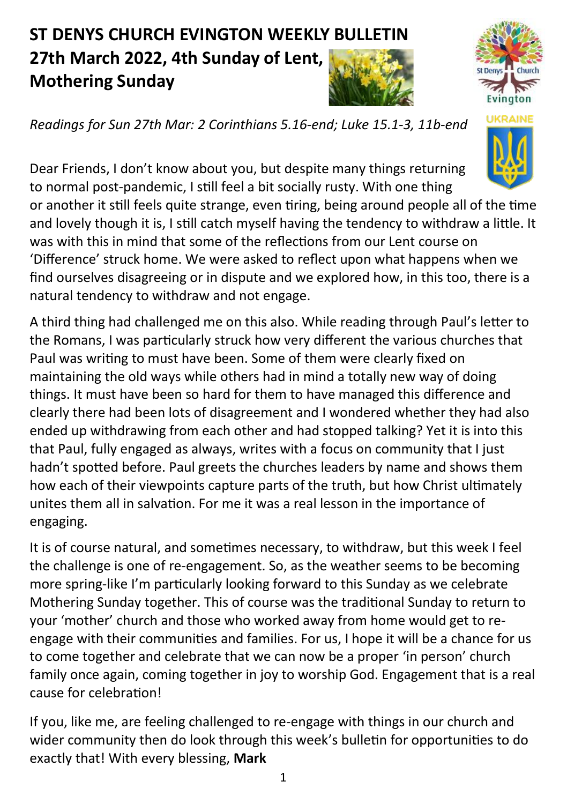## **ST DENYS CHURCH EVINGTON WEEKLY BULLETIN 27th March 2022, 4th Sunday of Lent, Mothering Sunday**





*Readings for Sun 27th Mar: 2 Corinthians 5.16-end; Luke 15.1-3, 11b-end* 

Dear Friends, I don't know about you, but despite many things returning to normal post-pandemic, I still feel a bit socially rusty. With one thing

or another it still feels quite strange, even tiring, being around people all of the time and lovely though it is, I still catch myself having the tendency to withdraw a little. It was with this in mind that some of the reflections from our Lent course on 'Difference' struck home. We were asked to reflect upon what happens when we find ourselves disagreeing or in dispute and we explored how, in this too, there is a natural tendency to withdraw and not engage.

A third thing had challenged me on this also. While reading through Paul's letter to the Romans, I was particularly struck how very different the various churches that Paul was writing to must have been. Some of them were clearly fixed on maintaining the old ways while others had in mind a totally new way of doing things. It must have been so hard for them to have managed this difference and clearly there had been lots of disagreement and I wondered whether they had also ended up withdrawing from each other and had stopped talking? Yet it is into this that Paul, fully engaged as always, writes with a focus on community that I just hadn't spotted before. Paul greets the churches leaders by name and shows them how each of their viewpoints capture parts of the truth, but how Christ ultimately unites them all in salvation. For me it was a real lesson in the importance of engaging.

It is of course natural, and sometimes necessary, to withdraw, but this week I feel the challenge is one of re-engagement. So, as the weather seems to be becoming more spring-like I'm particularly looking forward to this Sunday as we celebrate Mothering Sunday together. This of course was the traditional Sunday to return to your 'mother' church and those who worked away from home would get to reengage with their communities and families. For us, I hope it will be a chance for us to come together and celebrate that we can now be a proper 'in person' church family once again, coming together in joy to worship God. Engagement that is a real cause for celebration!

If you, like me, are feeling challenged to re-engage with things in our church and wider community then do look through this week's bulletin for opportunities to do exactly that! With every blessing, **Mark**

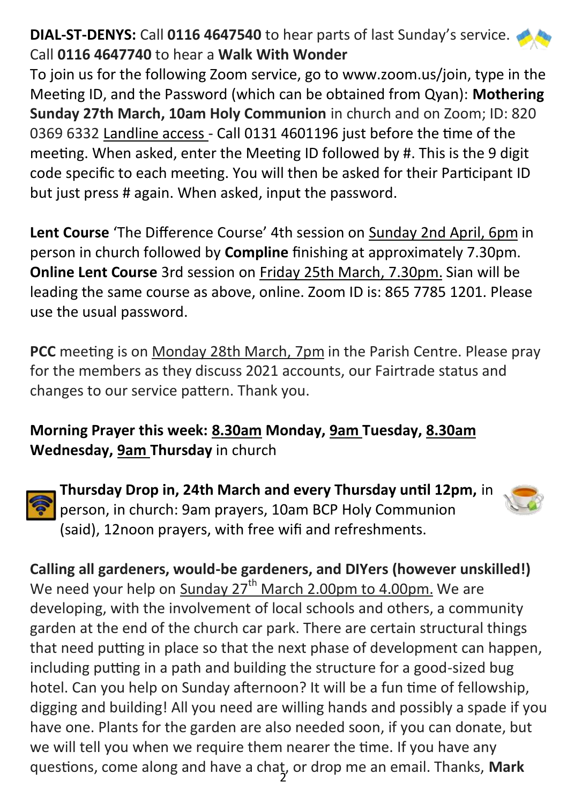## **DIAL-ST-DENYS:** Call **0116 4647540** to hear parts of last Sunday's service. Call **0116 4647740** to hear a **Walk With Wonder**

To join us for the following Zoom service, go to www.zoom.us/join, type in the Meeting ID, and the Password (which can be obtained from Qyan): **Mothering Sunday 27th March, 10am Holy Communion** in church and on Zoom; ID: 820 0369 6332 Landline access - Call 0131 4601196 just before the time of the meeting. When asked, enter the Meeting ID followed by #. This is the 9 digit code specific to each meeting. You will then be asked for their Participant ID but just press # again. When asked, input the password.

**Lent Course** 'The Difference Course' 4th session on Sunday 2nd April, 6pm in person in church followed by **Compline** finishing at approximately 7.30pm. **Online Lent Course** 3rd session on Friday 25th March, 7.30pm. Sian will be leading the same course as above, online. Zoom ID is: 865 7785 1201. Please use the usual password.

**PCC** meeting is on Monday 28th March, 7pm in the Parish Centre. Please pray for the members as they discuss 2021 accounts, our Fairtrade status and changes to our service pattern. Thank you.

## **Morning Prayer this week: 8.30am Monday, 9am Tuesday, 8.30am Wednesday, 9am Thursday** in church



**Thursday Drop in, 24th March and every Thursday until 12pm,** in person, in church: 9am prayers, 10am BCP Holy Communion (said), 12noon prayers, with free wifi and refreshments.



2 questions, come along and have a chat, or drop me an email. Thanks, **MarkCalling all gardeners, would-be gardeners, and DIYers (however unskilled!)** We need your help on Sunday  $27<sup>th</sup>$  March 2.00pm to 4.00pm. We are developing, with the involvement of local schools and others, a community garden at the end of the church car park. There are certain structural things that need putting in place so that the next phase of development can happen, including putting in a path and building the structure for a good-sized bug hotel. Can you help on Sunday afternoon? It will be a fun time of fellowship, digging and building! All you need are willing hands and possibly a spade if you have one. Plants for the garden are also needed soon, if you can donate, but we will tell you when we require them nearer the time. If you have any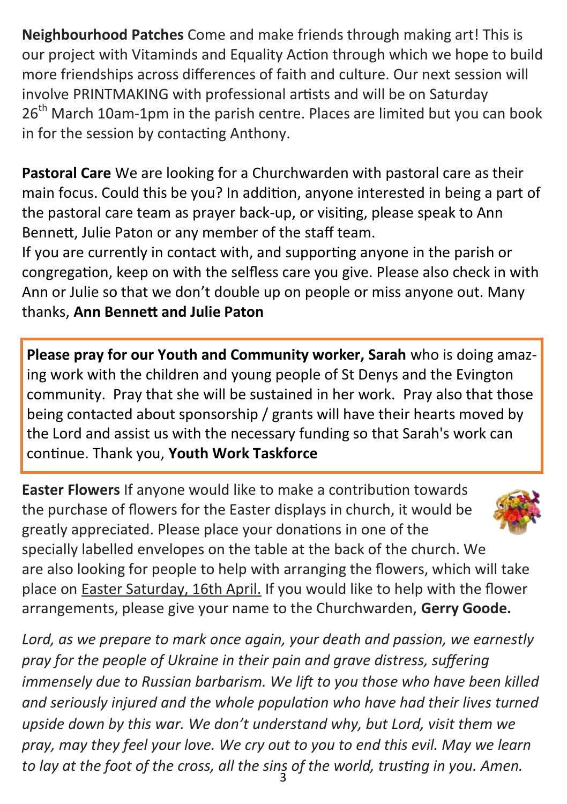**Neighbourhood Patches** Come and make friends through making art! This is our project with Vitaminds and Equality Action through which we hope to build more friendships across differences of faith and culture. Our next session will involve PRINTMAKING with professional artists and will be on Saturday 26<sup>th</sup> March 10am-1pm in the parish centre. Places are limited but you can book in for the session by contacting Anthony.

**Pastoral Care** We are looking for a Churchwarden with pastoral care as their main focus. Could this be you? In addition, anyone interested in being a part of the pastoral care team as prayer back-up, or visiting, please speak to Ann Bennett, Julie Paton or any member of the staff team.

If you are currently in contact with, and supporting anyone in the parish or congregation, keep on with the selfless care you give. Please also check in with Ann or Julie so that we don't double up on people or miss anyone out. Many thanks, **Ann Bennett and Julie Paton**

**Please pray for our Youth and Community worker, Sarah** who is doing amazing work with the children and young people of St Denys and the Evington community. Pray that she will be sustained in her work. Pray also that those being contacted about sponsorship / grants will have their hearts moved by the Lord and assist us with the necessary funding so that Sarah's work can continue. Thank you, **Youth Work Taskforce**

**Easter Flowers** If anyone would like to make a contribution towards the purchase of flowers for the Easter displays in church, it would be greatly appreciated. Please place your donations in one of the specially labelled envelopes on the table at the back of the church. We are also looking for people to help with arranging the flowers, which will take place on Easter Saturday, 16th April. If you would like to help with the flower arrangements, please give your name to the Churchwarden, **Gerry Goode.**

3 *to lay at the foot of the cross, all the sins of the world, trusting in you. Amen. Lord, as we prepare to mark once again, your death and passion, we earnestly pray for the people of Ukraine in their pain and grave distress, suffering immensely due to Russian barbarism. We lift to you those who have been killed and seriously injured and the whole population who have had their lives turned upside down by this war. We don't understand why, but Lord, visit them we pray, may they feel your love. We cry out to you to end this evil. May we learn*